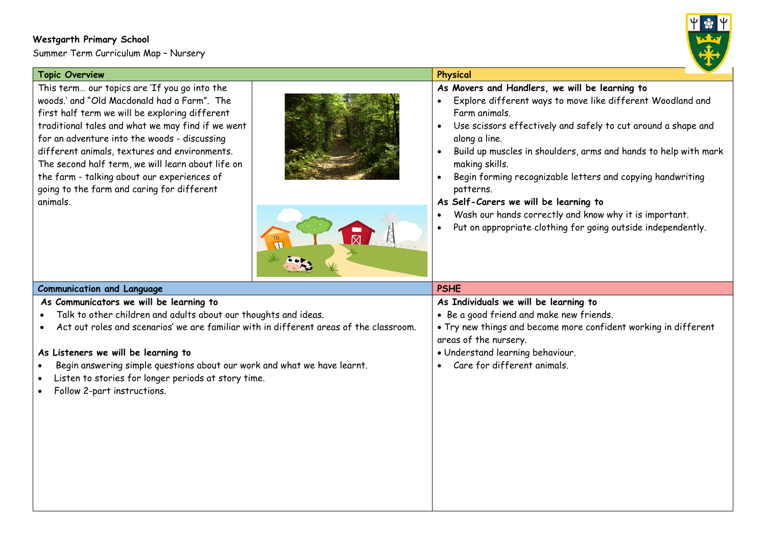## **Westgarth Primary School**

Summer Term Curriculum Map – Nursery



| <b>Topic Overview</b>                                                                                                                                                                                                                                                                                                                                                                                                                                             | Physical                                                                                                                                                                                                                                                                                                                                                                                                                                                                                                                                                                     |
|-------------------------------------------------------------------------------------------------------------------------------------------------------------------------------------------------------------------------------------------------------------------------------------------------------------------------------------------------------------------------------------------------------------------------------------------------------------------|------------------------------------------------------------------------------------------------------------------------------------------------------------------------------------------------------------------------------------------------------------------------------------------------------------------------------------------------------------------------------------------------------------------------------------------------------------------------------------------------------------------------------------------------------------------------------|
| This term our topics are 'If you go into the<br>woods,' and "Old Macdonald had a Farm". The<br>first half term we will be exploring different<br>traditional tales and what we may find if we went<br>for an adventure into the woods - discussing<br>different animals, textures and environments.<br>The second half term, we will learn about life on<br>the farm - talking about our experiences of<br>going to the farm and caring for different<br>animals. | As Movers and Handlers, we will be learning to<br>Explore different ways to move like different Woodland and<br>$\bullet$<br>Farm animals.<br>Use scissors effectively and safely to cut around a shape and<br>along a line.<br>Build up muscles in shoulders, arms and hands to help with mark<br>making skills.<br>Begin forming recognizable letters and copying handwriting<br>patterns.<br>As Self-Carers we will be learning to<br>Wash our hands correctly and know why it is important.<br>Put on appropriate clothing for going outside independently.<br>$\bullet$ |
| <b>Communication and Language</b>                                                                                                                                                                                                                                                                                                                                                                                                                                 | <b>PSHE</b>                                                                                                                                                                                                                                                                                                                                                                                                                                                                                                                                                                  |
| As Communicators we will be learning to<br>Talk to other children and adults about our thoughts and ideas.<br>Act out roles and scenarios' we are familiar with in different areas of the classroom.<br>As Listeners we will be learning to<br>Begin answering simple questions about our work and what we have learnt.<br>$\bullet$<br>Listen to stories for longer periods at story time.<br>Follow 2-part instructions.                                        | As Individuals we will be learning to<br>• Be a good friend and make new friends.<br>. Try new things and become more confident working in different<br>areas of the nursery.<br>· Understand learning behaviour.<br>Care for different animals.                                                                                                                                                                                                                                                                                                                             |